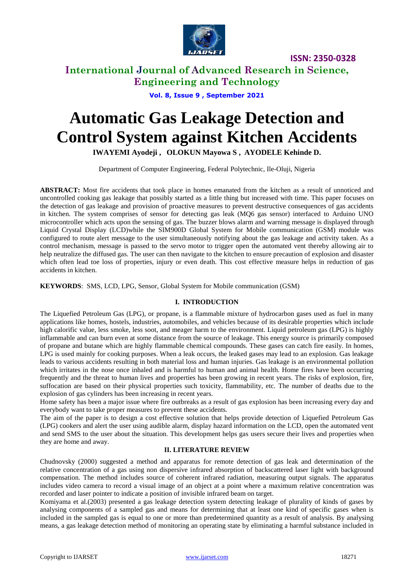

**International Journal of Advanced Research in Science, Engineering and Technology**

**Vol. 8, Issue 9 , September 2021**

# **Automatic Gas Leakage Detection and Control System against Kitchen Accidents**

**IWAYEMI Ayodeji , OLOKUN Mayowa S , AYODELE Kehinde D.**

Department of Computer Engineering, Federal Polytechnic, Ile-Oluji, Nigeria

**ABSTRACT:** Most fire accidents that took place in homes emanated from the kitchen as a result of unnoticed and uncontrolled cooking gas leakage that possibly started as a little thing but increased with time. This paper focuses on the detection of gas leakage and provision of proactive measures to prevent destructive consequences of gas accidents in kitchen. The system comprises of sensor for detecting gas leak (MQ6 gas sensor) interfaced to Arduino UNO microcontroller which acts upon the sensing of gas. The buzzer blows alarm and warning message is displayed through Liquid Crystal Display (LCD)while the SIM900D Global System for Mobile communication (GSM) module was configured to route alert message to the user simultaneously notifying about the gas leakage and activity taken. As a control mechanism, message is passed to the servo motor to trigger open the automated vent thereby allowing air to help neutralize the diffused gas. The user can then navigate to the kitchen to ensure precaution of explosion and disaster which often lead toe loss of properties, injury or even death. This cost effective measure helps in reduction of gas accidents in kitchen.

**KEYWORDS**: SMS, LCD, LPG, Sensor, Global System for Mobile communication (GSM)

## **I. INTRODUCTION**

The Liquefied Petroleum Gas (LPG), or propane, is a flammable mixture of hydrocarbon gases used as fuel in many applications like homes, hostels, industries, automobiles, and vehicles because of its desirable properties which include high calorific value, less smoke, less soot, and meager harm to the environment. Liquid petroleum gas (LPG) is highly inflammable and can burn even at some distance from the source of leakage. This energy source is primarily composed of propane and butane which are highly flammable chemical compounds. These gases can catch fire easily. In homes, LPG is used mainly for cooking purposes. When a leak occurs, the leaked gases may lead to an explosion. Gas leakage leads to various accidents resulting in both material loss and human injuries. Gas leakage is an environmental pollution which irritates in the nose once inhaled and is harmful to human and animal health. Home fires have been occurring frequently and the threat to human lives and properties has been growing in recent years. The risks of explosion, fire, suffocation are based on their physical properties such toxicity, flammability, etc. The number of deaths due to the explosion of gas cylinders has been increasing in recent years.

Home safety has been a major issue where fire outbreaks as a result of gas explosion has been increasing every day and everybody want to take proper measures to prevent these accidents.

The aim of the paper is to design a cost effective solution that helps provide detection of Liquefied Petroleum Gas (LPG) cookers and alert the user using audible alarm, display hazard information on the LCD, open the automated vent and send SMS to the user about the situation. This development helps gas users secure their lives and properties when they are home and away.

## **II. LITERATURE REVIEW**

Chudnovsky (2000) suggested a method and apparatus for remote detection of gas leak and determination of the relative concentration of a gas using non dispersive infrared absorption of backscattered laser light with background compensation. The method includes source of coherent infrared radiation, measuring output signals. The apparatus includes video camera to record a visual image of an object at a point where a maximum relative concentration was recorded and laser pointer to indicate a position of invisible infrared beam on target.

Komiyama et al.(2003) presented a gas leakage detection system detecting leakage of plurality of kinds of gases by analysing components of a sampled gas and means for determining that at least one kind of specific gases when is included in the sampled gas is equal to one or more than predetermined quantity as a result of analysis. By analysing means, a gas leakage detection method of monitoring an operating state by eliminating a harmful substance included in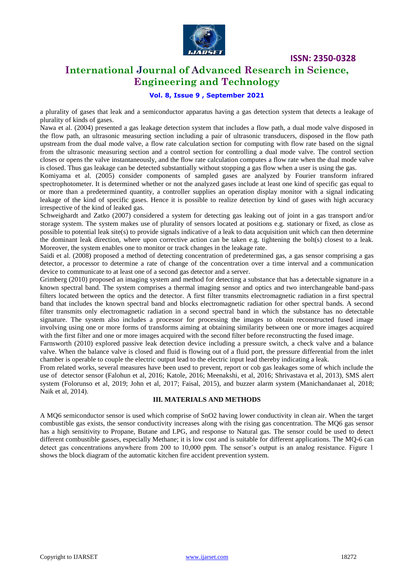

## **International Journal of Advanced Research in Science, Engineering and Technology**

## **Vol. 8, Issue 9 , September 2021**

a plurality of gases that leak and a semiconductor apparatus having a gas detection system that detects a leakage of plurality of kinds of gases.

Nawa et al. (2004) presented a gas leakage detection system that includes a flow path, a dual mode valve disposed in the flow path, an ultrasonic measuring section including a pair of ultrasonic transducers, disposed in the flow path upstream from the dual mode valve, a flow rate calculation section for computing with flow rate based on the signal from the ultrasonic measuring section and a control section for controlling a dual mode valve. The control section closes or opens the valve instantaneously, and the flow rate calculation computes a flow rate when the dual mode valve is closed. Thus gas leakage can be detected substantially without stopping a gas flow when a user is using the gas.

Komiyama et al. (2005) consider components of sampled gases are analyzed by Fourier transform infrared spectrophotometer. It is determined whether or not the analyzed gases include at least one kind of specific gas equal to or more than a predetermined quantity, a controller supplies an operation display monitor with a signal indicating leakage of the kind of specific gases. Hence it is possible to realize detection by kind of gases with high accuracy irrespective of the kind of leaked gas.

Schweighardt and Zatko (2007) considered a system for detecting gas leaking out of joint in a gas transport and/or storage system. The system makes use of plurality of sensors located at positions e.g. stationary or fixed, as close as possible to potential leak site(s) to provide signals indicative of a leak to data acquisition unit which can then determine the dominant leak direction, where upon corrective action can be taken e.g. tightening the bolt(s) closest to a leak. Moreover, the system enables one to monitor or track changes in the leakage rate.

Saidi et al. (2008) proposed a method of detecting concentration of predetermined gas, a gas sensor comprising a gas detector, a processor to determine a rate of change of the concentration over a time interval and a communication device to communicate to at least one of a second gas detector and a server.

Grimberg (2010) proposed an imaging system and method for detecting a substance that has a detectable signature in a known spectral band. The system comprises a thermal imaging sensor and optics and two interchangeable band-pass filters located between the optics and the detector. A first filter transmits electromagnetic radiation in a first spectral band that includes the known spectral band and blocks electromagnetic radiation for other spectral bands. A second filter transmits only electromagnetic radiation in a second spectral band in which the substance has no detectable signature. The system also includes a processor for processing the images to obtain reconstructed fused image involving using one or more forms of transforms aiming at obtaining similarity between one or more images acquired with the first filter and one or more images acquired with the second filter before reconstructing the fused image.

Farnsworth (2010) explored passive leak detection device including a pressure switch, a check valve and a balance valve. When the balance valve is closed and fluid is flowing out of a fluid port, the pressure differential from the inlet chamber is operable to couple the electric output lead to the electric input lead thereby indicating a leak.

From related works, several measures have been used to prevent, report or cob gas leakages some of which include the use of detector sensor (Falohun et al, 2016; Katole, 2016; Meenakshi, et al, 2016; Shrivastava et al, 2013), SMS alert system (Folorunso et al, 2019; John et al, 2017; Faisal, 2015), and buzzer alarm system (Manichandanaet al, 2018; Naik et al, 2014).

## **III. MATERIALS AND METHODS**

A MQ6 semiconductor sensor is used which comprise of SnO2 having lower conductivity in clean air. When the target combustible gas exists, the sensor conductivity increases along with the rising gas concentration. The MQ6 gas sensor has a high sensitivity to Propane, Butane and LPG, and response to Natural gas. The sensor could be used to detect different combustible gasses, especially Methane; it is low cost and is suitable for different applications. The MQ-6 can detect gas concentrations anywhere from 200 to 10,000 ppm. The sensor's output is an analog resistance. Figure 1 shows the block diagram of the automatic kitchen fire accident prevention system.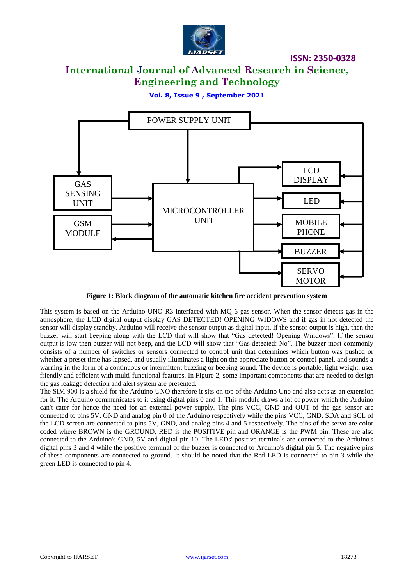

# **International Journal of Advanced Research in Science, Engineering and Technology**

**Vol. 8, Issue 9 , September 2021**



**Figure 1: Block diagram of the automatic kitchen fire accident prevention system** 

This system is based on the Arduino UNO R3 interfaced with MQ-6 gas sensor. When the sensor detects gas in the atmosphere, the LCD digital output display GAS DETECTED! OPENING WIDOWS and if gas in not detected the sensor will display standby. Arduino will receive the sensor output as digital input, If the sensor output is high, then the buzzer will start beeping along with the LCD that will show that "Gas detected! Opening Windows". If the sensor output is low then buzzer will not beep, and the LCD will show that "Gas detected: No". The buzzer most commonly consists of a number of switches or sensors connected to control unit that determines which button was pushed or whether a preset time has lapsed, and usually illuminates a light on the appreciate button or control panel, and sounds a warning in the form of a continuous or intermittent buzzing or beeping sound. The device is portable, light weight, user friendly and efficient with multi-functional features. In Figure 2, some important components that are needed to design the gas leakage detection and alert system are presented.

The SIM 900 is a shield for the Arduino UNO therefore it sits on top of the Arduino Uno and also acts as an extension for it. The Arduino communicates to it using digital pins 0 and 1. This module draws a lot of power which the Arduino can't cater for hence the need for an external power supply. The pins VCC, GND and OUT of the gas sensor are connected to pins 5V, GND and analog pin 0 of the Arduino respectively while the pins VCC, GND, SDA and SCL of the LCD screen are connected to pins 5V, GND, and analog pins 4 and 5 respectively. The pins of the servo are color coded where BROWN is the GROUND, RED is the POSITIVE pin and ORANGE is the PWM pin. These are also connected to the Arduino's GND, 5V and digital pin 10. The LEDs' positive terminals are connected to the Arduino's digital pins 3 and 4 while the positive terminal of the buzzer is connected to Arduino's digital pin 5. The negative pins of these components are connected to ground. It should be noted that the Red LED is connected to pin 3 while the green LED is connected to pin 4.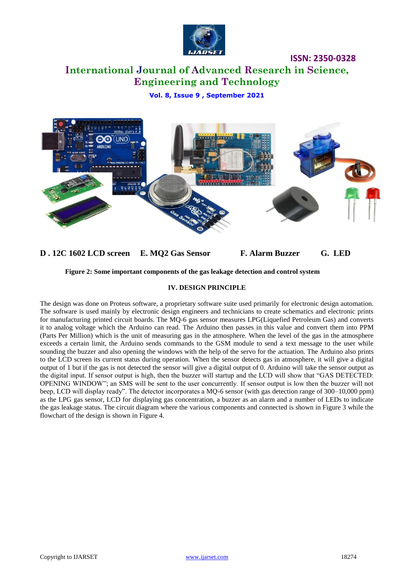

# **International Journal of Advanced Research in Science, Engineering and Technology**

**Vol. 8, Issue 9 , September 2021**



## **D . 12C 1602 LCD screen E. MQ2 Gas Sensor F. Alarm Buzzer G. LED**

## **Figure 2: Some important components of the gas leakage detection and control system**

## **IV. DESIGN PRINCIPLE**

The design was done on Proteus software, a proprietary software suite used primarily for electronic design automation. The software is used mainly by electronic design engineers and technicians to create schematics and electronic prints for manufacturing printed circuit boards. The MQ-6 gas sensor measures LPG(Liquefied Petroleum Gas) and converts it to analog voltage which the Arduino can read. The Arduino then passes in this value and convert them into PPM (Parts Per Million) which is the unit of measuring gas in the atmosphere. When the level of the gas in the atmosphere exceeds a certain limit, the Arduino sends commands to the GSM module to send a text message to the user while sounding the buzzer and also opening the windows with the help of the servo for the actuation. The Arduino also prints to the LCD screen its current status during operation. When the sensor detects gas in atmosphere, it will give a digital output of 1 but if the gas is not detected the sensor will give a digital output of 0. Arduino will take the sensor output as the digital input. If sensor output is high, then the buzzer will startup and the LCD will show that "GAS DETECTED: OPENING WINDOW"; an SMS will be sent to the user concurrently. If sensor output is low then the buzzer will not beep, LCD will display ready". The detector incorporates a MQ-6 sensor (with gas detection range of 300–10,000 ppm) as the LPG gas sensor, LCD for displaying gas concentration, a buzzer as an alarm and a number of LEDs to indicate the gas leakage status. The circuit diagram where the various components and connected is shown in Figure 3 while the flowchart of the design is shown in Figure 4.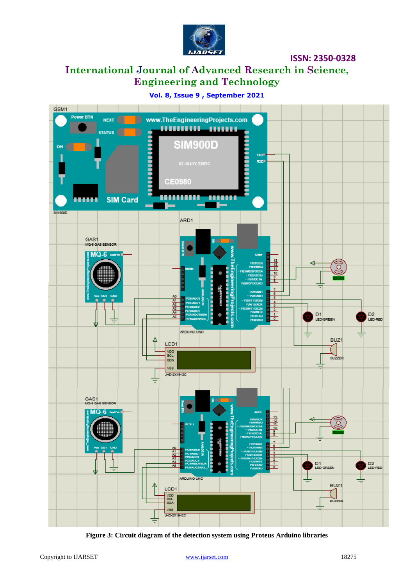

# **International Journal of Advanced Research in Science, Engineering and Technology**

## **Vol. 8, Issue 9 , September 2021**



**Figure 3: Circuit diagram of the detection system using Proteus Arduino libraries**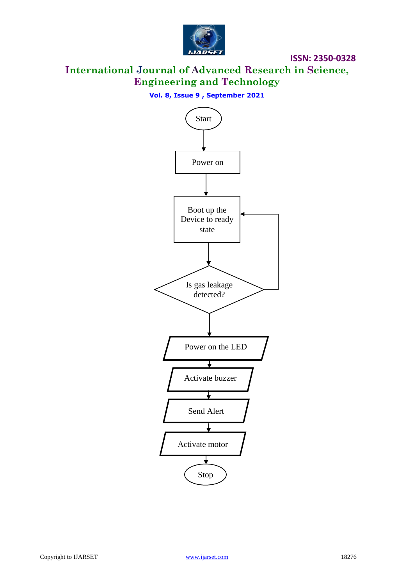

**International Journal of Advanced Research in Science, Engineering and Technology**

## **Vol. 8, Issue 9 , September 2021**

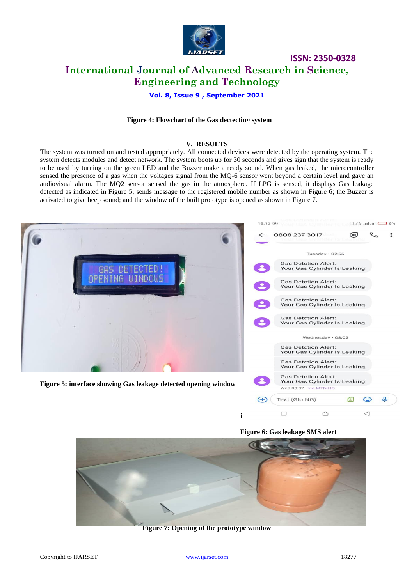

## **ISSN: 2350-0328 International Journal of Advanced Research in Science, Engineering and Technology**

## **Vol. 8, Issue 9 , September 2021**

#### **Figure 4: Flowchart of the Gas dectecting system**

#### **V. RESULTS**

The system was turned on and tested appropriately. All connected devices were detected by the operating system. The system detects modules and detect network. The system boots up for 30 seconds and gives sign that the system is ready to be used by turning on the green LED and the Buzzer make a ready sound. When gas leaked, the microcontroller sensed the presence of a gas when the voltages signal from the MQ-6 sensor went beyond a certain level and gave an audiovisual alarm. The MQ2 sensor sensed the gas in the atmosphere. If LPG is sensed, it displays Gas leakage detected as indicated in Figure 5; sends message to the registered mobile number as shown in Figure 6; the Buzzer is activated to give beep sound; and the window of the built prototype is opened as shown in Figure 7.





**i**

 $\qquad \qquad \Box$ 

 $\bigcirc$ 

 $\triangleleft$ 

**Figure 7: Opening of the prototype window**